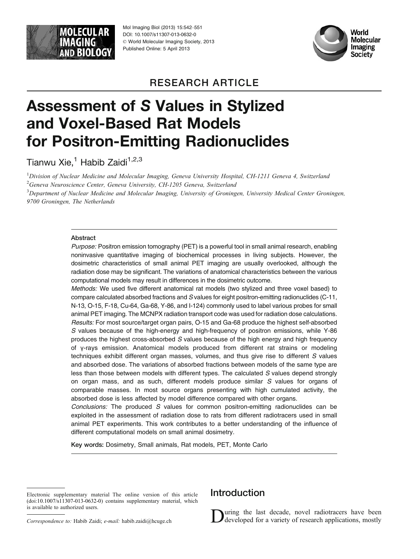

Mol Imaging Biol (2013) 15:542-551 DOI: 10.1007/s11307-013-0632-0  $©$  World Molecular Imaging Society, 2013 Published Online: 5 April 2013



## RESEARCH ARTICLE

# Assessment of S Values in Stylized and Voxel-Based Rat Models for Positron-Emitting Radionuclides

Tianwu Xie,<sup>1</sup> Habib Zaidi<sup>1,2,3</sup>

<sup>1</sup>Division of Nuclear Medicine and Molecular Imaging, Geneva University Hospital, CH-1211 Geneva 4, Switzerland <sup>2</sup> Geneva Neuroscience Center, Geneva University, CH-1205 Geneva, Switzerland

<sup>3</sup>Department of Nuclear Medicine and Molecular Imaging, University of Groningen, University Medical Center Groningen, 9700 Groningen, The Netherlands

#### Abstract

Purpose: Positron emission tomography (PET) is a powerful tool in small animal research, enabling noninvasive quantitative imaging of biochemical processes in living subjects. However, the dosimetric characteristics of small animal PET imaging are usually overlooked, although the radiation dose may be significant. The variations of anatomical characteristics between the various computational models may result in differences in the dosimetric outcome.

Methods: We used five different anatomical rat models (two stylized and three voxel based) to compare calculated absorbed fractions and S values for eight positron-emitting radionuclides (C-11, N-13, O-15, F-18, Cu-64, Ga-68, Y-86, and I-124) commonly used to label various probes for small animal PET imaging. The MCNPX radiation transport code was used for radiation dose calculations. Results: For most source/target organ pairs, O-15 and Ga-68 produce the highest self-absorbed S values because of the high-energy and high-frequency of positron emissions, while Y-86 produces the highest cross-absorbed S values because of the high energy and high frequency of γ-rays emission. Anatomical models produced from different rat strains or modeling techniques exhibit different organ masses, volumes, and thus give rise to different S values and absorbed dose. The variations of absorbed fractions between models of the same type are less than those between models with different types. The calculated S values depend strongly on organ mass, and as such, different models produce similar S values for organs of comparable masses. In most source organs presenting with high cumulated activity, the absorbed dose is less affected by model difference compared with other organs.

Conclusions: The produced S values for common positron-emitting radionuclides can be exploited in the assessment of radiation dose to rats from different radiotracers used in small animal PET experiments. This work contributes to a better understanding of the influence of different computational models on small animal dosimetry.

Key words: Dosimetry, Small animals, Rat models, PET, Monte Carlo

## **Introduction**

During the last decade, novel radiotracers have been developed for a variety of research applications, mostly

Electronic supplementary material The online version of this article (doi:[10.1007/s11307-013-0632-0](http://dx.doi.org/10.1007/s11307-013-0632-0)) contains supplementary material, which is available to authorized users.

Correspondence to: Habib Zaidi; e-mail: habib.zaidi@hcuge.ch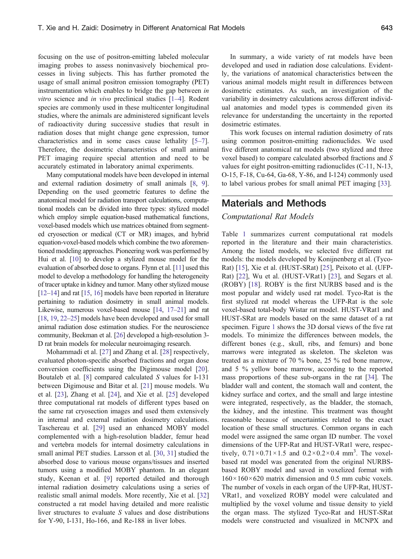focusing on the use of positron-emitting labeled molecular imaging probes to assess noninvasively biochemical processes in living subjects. This has further promoted the usage of small animal positron emission tomography (PET) instrumentation which enables to bridge the gap between in vitro science and in vivo preclinical studies [\[1](#page-9-0)–[4](#page-9-0)]. Rodent species are commonly used in these multicenter longitudinal studies, where the animals are administered significant levels of radioactivity during successive studies that result in radiation doses that might change gene expression, tumor characteristics and in some cases cause lethality [\[5](#page-9-0)–[7](#page-9-0)]. Therefore, the dosimetric characteristics of small animal PET imaging require special attention and need to be accurately estimated in laboratory animal experiments.

Many computational models have been developed in internal and external radiation dosimetry of small animals [\[8](#page-9-0), [9](#page-9-0)]. Depending on the used geometric features to define the anatomical model for radiation transport calculations, computational models can be divided into three types: stylized model which employ simple equation-based mathematical functions, voxel-based models which use matrices obtained from segmented cryosection or medical (CT or MR) images, and hybrid equation-voxel-based models which combine the two aforementioned modeling approaches. Pioneering work was performed by Hui et al. [[10](#page-9-0)] to develop a stylized mouse model for the evaluation of absorbed dose to organs. Flynn et al. [[11](#page-9-0)] used this model to develop a methodology for handling the heterogeneity of tracer uptake in kidney and tumor. Many other stylized mouse [\[12](#page-9-0)–[14\]](#page-9-0) and rat [\[15,](#page-9-0) [16](#page-9-0)] models have been reported in literature pertaining to radiation dosimetry in small animal models. Likewise, numerous voxel-based mouse [[14](#page-9-0), [17](#page-9-0)–[21](#page-9-0)] and rat [\[18](#page-9-0), [19,](#page-9-0) [22](#page-9-0)–[25](#page-9-0)] models have been developed and used for small animal radiation dose estimation studies. For the neuroscience community, Beekman et al. [\[26\]](#page-9-0) developed a high-resolution 3- D rat brain models for molecular neuroimaging research.

Mohammadi et al. [\[27](#page-9-0)] and Zhang et al. [[28\]](#page-9-0) respectively, evaluated photon-specific absorbed fractions and organ dose conversion coefficients using the Digimouse model [\[20](#page-9-0)]. Boutaleb et al. [\[8](#page-9-0)] compared calculated S values for I-131 between Digimouse and Bitar et al. [\[21](#page-9-0)] mouse models. Wu et al. [[23\]](#page-9-0), Zhang et al. [\[24](#page-9-0)], and Xie et al. [\[25](#page-9-0)] developed three computational rat models of different types based on the same rat cryosection images and used them extensively in internal and external radiation dosimetry calculations. Taschereau et al. [\[29](#page-9-0)] used an enhanced MOBY model complemented with a high-resolution bladder, femur head and vertebra models for internal dosimetry calculations in small animal PET studies. Larsson et al. [[30,](#page-9-0) [31](#page-9-0)] studied the absorbed dose to various mouse organs/tissues and inserted tumors using a modified MOBY phantom. In an elegant study, Keenan et al. [[9\]](#page-9-0) reported detailed and thorough internal radiation dosimetry calculations using a series of realistic small animal models. More recently, Xie et al. [[32\]](#page-9-0) constructed a rat model having detailed and more realistic liver structures to evaluate S values and dose distributions for Y-90, I-131, Ho-166, and Re-188 in liver lobes.

In summary, a wide variety of rat models have been developed and used in radiation dose calculations. Evidently, the variations of anatomical characteristics between the various animal models might result in differences between dosimetric estimates. As such, an investigation of the variability in dosimetry calculations across different individual anatomies and model types is commended given its relevance for understanding the uncertainty in the reported dosimetric estimates.

This work focuses on internal radiation dosimetry of rats using common positron-emitting radionuclides. We used five different anatomical rat models (two stylized and three voxel based) to compare calculated absorbed fractions and S values for eight positron-emitting radionuclides (C-11, N-13, O-15, F-18, Cu-64, Ga-68, Y-86, and I-124) commonly used to label various probes for small animal PET imaging [[33\]](#page-9-0).

## Materials and Methods

#### Computational Rat Models

Table [1](#page-2-0) summarizes current computational rat models reported in the literature and their main characteristics. Among the listed models, we selected five different rat models: the models developed by Konijnenberg et al. (Tyco-Rat) [\[15\]](#page-9-0), Xie et al. (HUST-SRat) [[25\]](#page-9-0), Peixoto et al. (UFP-Rat) [[22\]](#page-9-0), Wu et al. (HUST-VRat1) [[23\]](#page-9-0), and Segars et al. (ROBY) [\[18\]](#page-9-0). ROBY is the first NURBS based and is the most popular and widely used rat model. Tyco-Rat is the first stylized rat model whereas the UFP-Rat is the sole voxel-based total-body Wistar rat model. HUST-VRat1 and HUST-SRat are models based on the same dataset of a rat specimen. Figure [1](#page-2-0) shows the 3D dorsal views of the five rat models. To minimize the differences between models, the different bones (e.g., skull, ribs, and femurs) and bone marrows were integrated as skeleton. The skeleton was treated as a mixture of 70 % bone, 25 % red bone marrow, and 5 % yellow bone marrow, according to the reported mass proportions of these sub-organs in the rat [\[34](#page-9-0)]. The bladder wall and content, the stomach wall and content, the kidney surface and cortex, and the small and large intestine were integrated, respectively, as the bladder, the stomach, the kidney, and the intestine. This treatment was thought reasonable because of uncertainties related to the exact location of these small structures. Common organs in each model were assigned the same organ ID number. The voxel dimensions of the UFP-Rat and HUST-VRat1 were, respectively,  $0.71 \times 0.71 \times 1.5$  and  $0.2 \times 0.2 \times 0.4$  mm<sup>3</sup>. The voxelbased rat model was generated from the original NURBSbased ROBY model and saved in voxelized format with  $160\times160\times620$  matrix dimension and 0.5 mm cubic voxels. The number of voxels in each organ of the UFP-Rat, HUST-VRat1, and voxelized ROBY model were calculated and multiplied by the voxel volume and tissue density to yield the organ mass. The stylized Tyco-Rat and HUST-SRat models were constructed and visualized in MCNPX and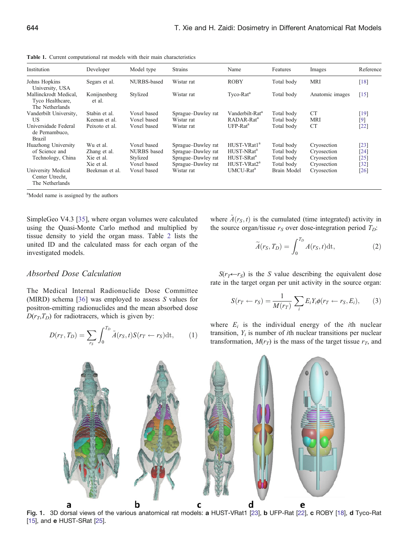<span id="page-2-0"></span>Table 1. Current computational rat models with their main characteristics

| Institution                                                  | Developer              | Model type  | <b>Strains</b>     | Name                        | Features    | Images          | Reference |
|--------------------------------------------------------------|------------------------|-------------|--------------------|-----------------------------|-------------|-----------------|-----------|
| Johns Hopkins<br>University, USA                             | Segars et al.          | NURBS-based | Wistar rat         | <b>ROBY</b>                 | Total body  | <b>MRI</b>      | [18]      |
| Mallinckrodt Medical.<br>Tyco Healthcare,<br>The Netherlands | Konijnenberg<br>et al. | Stylized    | Wistar rat         | Tyco-Rat <sup>a</sup>       | Total body  | Anatomic images | $[15]$    |
| Vanderbilt University,                                       | Stabin et al.          | Voxel based | Sprague–Dawley rat | Vanderbilt-Rat <sup>a</sup> | Total body  | CT <sup>-</sup> | $[19]$    |
| US                                                           | Keenan et al.          | Voxel based | Wistar rat         | RADAR-Rat <sup>a</sup>      | Total body  | <b>MRI</b>      | $[9]$     |
| Universidade Federal<br>de Pernambuco,<br><b>Brazil</b>      | Peixoto et al.         | Voxel based | Wistar rat         | $UFP-Rat^a$                 | Total body  | <b>CT</b>       | $[22]$    |
| Huazhong University                                          | Wu et al.              | Voxel based | Sprague–Dawley rat | HUST-VRat1 <sup>a</sup>     | Total body  | Cryosection     | [23]      |
| of Science and                                               | Zhang et al.           | NURBS based | Sprague–Dawley rat | HUST-NRat <sup>a</sup>      | Total body  | Cryosection     | $[24]$    |
| Technology, China                                            | Xie et al.             | Stylized    | Sprague-Dawley rat | HUST-SRat <sup>a</sup>      | Total body  | Cryosection     | $[25]$    |
|                                                              | Xie et al.             | Voxel based | Sprague-Dawley rat | HUST-VRat2 <sup>a</sup>     | Total body  | Cryosection     | $[32]$    |
| University Medical<br>Center Utrecht,<br>The Netherlands     | Beekman et al.         | Voxel based | Wistar rat         | UMCU-Rat <sup>a</sup>       | Brain Model | Cryosection     | [26]      |

<sup>a</sup>Model name is assigned by the authors

SimpleGeo V4.3 [[35\]](#page-9-0), where organ volumes were calculated using the Quasi-Monte Carlo method and multiplied by tissue density to yield the organ mass. Table [2](#page-3-0) lists the united ID and the calculated mass for each organ of the investigated models.

### where  $\tilde{A}(r_S, t)$  is the cumulated (time integrated) activity in the source organ/tissue  $r<sub>S</sub>$  over dose-integration period  $T<sub>D</sub>$ :

$$
\widetilde{A}(r_S, T_D) = \int_0^{T_D} A(r_S, t) dt,
$$
\n(2)

#### Absorbed Dose Calculation

The Medical Internal Radionuclide Dose Committee (MIRD) schema [[36\]](#page-9-0) was employed to assess S values for positron-emitting radionuclides and the mean absorbed dose  $D(r_T,T_D)$  for radiotracers, which is given by:

$$
D(r_T, T_D) = \sum_{r_S} \int_0^{T_D} \tilde{A}(r_S, t) S(r_T \leftarrow r_S) dt, \qquad (1)
$$

 $S(r_T \leftarrow r_S)$  is the S value describing the equivalent dose rate in the target organ per unit activity in the source organ:

$$
S(r_T \leftarrow r_S) = \frac{1}{M(r_T)} \sum_i E_i Y_i \phi(r_T \leftarrow r_S, E_i), \qquad (3)
$$

where  $E_i$  is the individual energy of the *i*th nuclear transition,  $Y_i$  is number of *i*th nuclear transitions per nuclear transformation,  $M(r_T)$  is the mass of the target tissue  $r_T$ , and



Fig. 1. 3D dorsal views of the various anatomical rat models: a HUST-VRat1 [[23\]](#page-9-0), b UFP-Rat [[22](#page-9-0)], c ROBY [\[18](#page-9-0)], d Tyco-Rat [\[15](#page-9-0)], and e HUST-SRat [\[25](#page-9-0)].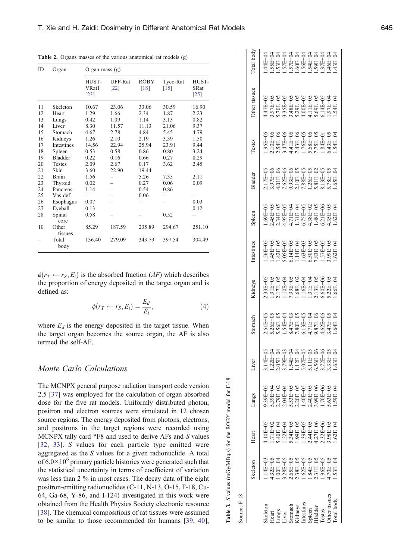| ID<br>Organ |                  | Organ mass (g)         |                 |                     |                    |                                |
|-------------|------------------|------------------------|-----------------|---------------------|--------------------|--------------------------------|
|             |                  | HUST-<br>VRat1<br>[23] | UFP-Rat<br>[22] | <b>ROBY</b><br>[18] | Tyco-Rat<br>$[15]$ | HUST-<br><b>SRat</b><br>$[25]$ |
| 11          | Skeleton         | 10.67                  | 23.06           | 33.06               | 30.59              | 16.90                          |
| 12          | Heart            | 1.29                   | 1.66            | 2.34                | 1.87               | 2.23                           |
| 13          | Lungs            | 0.42                   | 1.09            | 1.14                | 3.13               | 0.82                           |
| 14          | Liver            | 8.30                   | 11.57           | 11.13               | 21.06              | 9.37                           |
| 15          | Stomach          | 4.67                   | 2.78            | 4.84                | 5.45               | 4.79                           |
| 16          | Kidneys          | 1.26                   | 2.10            | 2.19                | 3.39               | 1.50                           |
| 17          | Intestines       | 14.56                  | 22.94           | 25.94               | 23.91              | 9.44                           |
| 18          | Spleen           | 0.53                   | 0.58            | 0.86                | 0.80               | 3.24                           |
| 19          | <b>Bladder</b>   | 0.22                   | 0.16            | 0.66                | 0.27               | 0.29                           |
| 20          | <b>Testes</b>    | 2.09                   | 2.67            | 0.17                | 3.62               | 2.45                           |
| 21          | Skin             | 3.60                   | 22.90           | 19.44               |                    |                                |
| 22          | Brain            | 1.56                   |                 | 5.26                | 7.35               | 2.11                           |
| 23          | Thyroid          | 0.02                   |                 | 0.27                | 0.06               | 0.09                           |
| 24          | Pancreas         | 1.14                   |                 | 0.54                | 0.86               |                                |
| 25          | Vas def          |                        |                 | 0.06                |                    |                                |
| 26          | Esophagus        | 0.07                   |                 |                     |                    | 0.03                           |
| 27          | Eyeball          | 0.13                   |                 |                     |                    | 0.12                           |
| 28          | Spinal<br>core   | 0.58                   |                 |                     | 0.52               |                                |
| 10          | Other<br>tissues | 85.29                  | 187.59          | 235.89              | 294.67             | 251.10                         |
|             | Total<br>body    | 136.40                 | 279.09          | 343.79              | 397.54             | 304.49                         |

<span id="page-3-0"></span>Table 2. Organs masses of the various anatomical rat models (g)

 $\phi(r_T \leftarrow r_S, E_i)$  is the absorbed fraction (AF) which describes the proportion of energy deposited in the target organ and is de fined as:

$$
\phi(r_T \leftarrow r_S, E_i) = \frac{E_d}{E_i},\tag{4}
$$

where  $E_d$  is the energy deposited in the target tissue. When the target organ becomes the source organ, the AF is also termed the self-AF.

#### Monte Carlo Calculations

The MCNPX general purpose radiation transport code version 2.5 [\[37](#page-9-0)] was employed for the calculation of organ absorbed dose for the five rat models. Uniformly distributed photon, positron and electron sources were simulated in 12 chosen source regions. The energy deposited from photons, electrons, and positrons in the target regions were recorded using MCNPX tally card \*F8 and used to derive AFs and S values [\[32](#page-9-0) , [33](#page-9-0)]. S values for each particle type emitted were aggregated as the S values for a given radionuclide. A total of  $6.0 \times 10^6$  primary particle histories were generated such that the statistical uncertainty in terms of coefficient of variation was less than 2 % in most cases. The decay data of the eight positron-emitting radionuclides (C-11, N-13, O-15, F-18, Cu-64, Ga-68, Y-86, and I-124) investigated in this work were obtained from the Health Physics Society electronic resource [\[38](#page-9-0)]. The chemical compositions of rat tissues were assumed to be similar to those recommended for humans [\[39](#page-9-0) , [40](#page-9-0)],

| ource: F-18                     |                                                                                  |                                                                            |                                                                                                                                                                               |            |                                                                                                                       |         |                                                                                                                                                                                                                                                                                                                                               |                                                                                                                                                                                                                                                                                                                                                         |                                                                                                                                 |               |               |                   |
|---------------------------------|----------------------------------------------------------------------------------|----------------------------------------------------------------------------|-------------------------------------------------------------------------------------------------------------------------------------------------------------------------------|------------|-----------------------------------------------------------------------------------------------------------------------|---------|-----------------------------------------------------------------------------------------------------------------------------------------------------------------------------------------------------------------------------------------------------------------------------------------------------------------------------------------------|---------------------------------------------------------------------------------------------------------------------------------------------------------------------------------------------------------------------------------------------------------------------------------------------------------------------------------------------------------|---------------------------------------------------------------------------------------------------------------------------------|---------------|---------------|-------------------|
|                                 | keleton                                                                          | Heart                                                                      | saun                                                                                                                                                                          | Liver      | stomach                                                                                                               | Kidneys | Intestines                                                                                                                                                                                                                                                                                                                                    | Spleen                                                                                                                                                                                                                                                                                                                                                  | <b>Bladder</b>                                                                                                                  | <b>Testes</b> | other tissues | <b>Cotal</b> body |
| keletor                         | $14E-03$                                                                         | $10E-0.5$                                                                  | $0.39E - 0.5$                                                                                                                                                                 | $.14E-0.5$ | 05.51E-05<br>5.26E-05<br>5.26E-05<br>5.36E-05<br>5.36E-05<br>5.37E-06<br>5.37E-05<br>5.37E-05<br>5.37E-05<br>3.37E-05 |         | $\begin{array}{r} 1.56\text{B}-05 \\ 1.45\text{B}-05 \\ 1.42\text{B}-05 \\ 1.42\text{B}-05 \\ 1.4\text{B}-05 \\ 1.4\text{B}-04 \\ 1.4\text{B}-04 \\ 1.4\text{B}-03 \\ 1.4\text{B}-03 \\ 1.5\text{B}-05 \\ 1.5\text{B}-05 \\ 1.5\text{B}-05 \\ 1.5\text{B}-05 \\ 1.5\text{B}-05 \\ 1.5\text{B}-05 \\ 1.5\text{B}-05 \\ 1.5\text{B}-05 \\ 1.5\$ | $\begin{array}{l} 1.69\mathrm{P}{-}95 \\ 2.45\mathrm{P}{-}95 \\ 2.45\mathrm{P}{-}95 \\ 2.34\mathrm{P}{-}95 \\ 2.34\mathrm{P}{+}95 \\ 2.34\mathrm{P}{+}95 \\ 2.34\mathrm{P}{+}95 \\ 2.34\mathrm{P}{+}95 \\ 2.34\mathrm{P}{+}95 \\ 2.34\mathrm{P}{+}95 \\ 2.34\mathrm{P}{+}95 \\ 2.34\mathrm{P}{+}95 \\ 2.34\mathrm{P}{+}95 \\ 2.34\mathrm{P}{+}95 \\ 2.$ | 517E-05<br>3.97E-06<br>3.97E-06<br>3.97E-06<br>3.01E-05<br>3.01E-07<br>3.01E-07<br>3.01E-07<br>3.01E-07<br>3.01E-07<br>3.01E-07 | $-95E-05$     |               |                   |
| leart                           | $.32E-0.5$                                                                       | $.71E-0$                                                                   | $39E - 04$                                                                                                                                                                    |            |                                                                                                                       |         |                                                                                                                                                                                                                                                                                                                                               |                                                                                                                                                                                                                                                                                                                                                         |                                                                                                                                 |               |               |                   |
|                                 | $-00E-04$                                                                        | $-40E - 04$                                                                |                                                                                                                                                                               |            |                                                                                                                       |         |                                                                                                                                                                                                                                                                                                                                               |                                                                                                                                                                                                                                                                                                                                                         |                                                                                                                                 |               |               |                   |
| ungs<br><i>iver</i>             | 5.28E-05<br>3.65E-05<br>3.65E-05<br>3.38E-05<br>3.31E-05<br>3.31E-05<br>3.96E-05 |                                                                            | $2.79E - 02$<br>$2.94E - 045$<br>$2.34E - 05$<br>$2.34E - 05$<br>$2.44E - 05$<br>$2.44E - 05$<br>$2.44E - 05$<br>$2.54E - 05$<br>$2.54E - 05$<br>$2.54E - 05$<br>$2.54E - 05$ |            |                                                                                                                       |         |                                                                                                                                                                                                                                                                                                                                               |                                                                                                                                                                                                                                                                                                                                                         |                                                                                                                                 |               |               |                   |
|                                 |                                                                                  |                                                                            |                                                                                                                                                                               |            |                                                                                                                       |         |                                                                                                                                                                                                                                                                                                                                               |                                                                                                                                                                                                                                                                                                                                                         |                                                                                                                                 |               |               |                   |
| stomach<br>Cidneys<br>ntestines |                                                                                  |                                                                            |                                                                                                                                                                               |            |                                                                                                                       |         |                                                                                                                                                                                                                                                                                                                                               |                                                                                                                                                                                                                                                                                                                                                         |                                                                                                                                 |               |               |                   |
|                                 |                                                                                  |                                                                            |                                                                                                                                                                               |            |                                                                                                                       |         |                                                                                                                                                                                                                                                                                                                                               |                                                                                                                                                                                                                                                                                                                                                         |                                                                                                                                 |               |               |                   |
| pleen                           |                                                                                  |                                                                            |                                                                                                                                                                               |            |                                                                                                                       |         |                                                                                                                                                                                                                                                                                                                                               |                                                                                                                                                                                                                                                                                                                                                         |                                                                                                                                 |               |               |                   |
| ladder                          |                                                                                  |                                                                            |                                                                                                                                                                               |            |                                                                                                                       |         |                                                                                                                                                                                                                                                                                                                                               |                                                                                                                                                                                                                                                                                                                                                         |                                                                                                                                 |               |               |                   |
|                                 |                                                                                  | 04<br>5.34E-05<br>5.34E-05<br>5.39E-05<br>5.32E-06<br>5.32E-05<br>4.27E-06 |                                                                                                                                                                               |            |                                                                                                                       |         |                                                                                                                                                                                                                                                                                                                                               |                                                                                                                                                                                                                                                                                                                                                         |                                                                                                                                 |               |               |                   |
| her tissues                     |                                                                                  |                                                                            |                                                                                                                                                                               |            |                                                                                                                       |         |                                                                                                                                                                                                                                                                                                                                               |                                                                                                                                                                                                                                                                                                                                                         |                                                                                                                                 |               |               |                   |
|                                 | $53E-0$                                                                          | $-9 - 325$                                                                 |                                                                                                                                                                               | $-455$ .   |                                                                                                                       |         |                                                                                                                                                                                                                                                                                                                                               |                                                                                                                                                                                                                                                                                                                                                         |                                                                                                                                 |               |               |                   |
|                                 |                                                                                  |                                                                            |                                                                                                                                                                               |            |                                                                                                                       |         |                                                                                                                                                                                                                                                                                                                                               |                                                                                                                                                                                                                                                                                                                                                         |                                                                                                                                 |               |               |                   |

Table 3. S values (mGy/MBq.s) for the ROBY model for F-18

Table 3. S values (mGy/MBq.s) for the ROBY model for F-18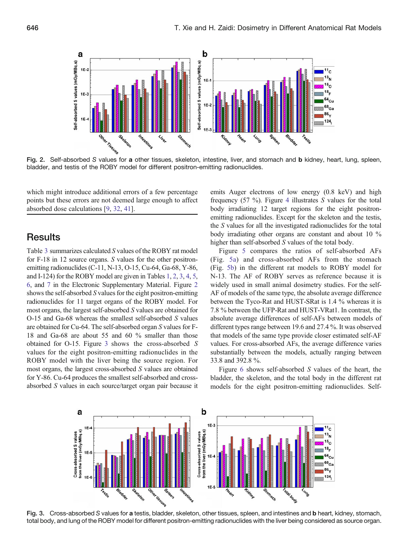

Fig. 2. Self-absorbed S values for a other tissues, skeleton, intestine, liver, and stomach and b kidney, heart, lung, spleen, bladder, and testis of the ROBY model for different positron-emitting radionuclides.

which might introduce additional errors of a few percentage points but these errors are not deemed large enough to affect absorbed dose calculations [\[9](#page-9-0), [32](#page-9-0), [41\]](#page-9-0).

## **Results**

Table [3](#page-3-0) summarizes calculated S values of the ROBY rat model for F-18 in 12 source organs. S values for the other positronemitting radionuclides (C-11, N-13, O-15, Cu-64, Ga-68, Y-86, and I-124) for the ROBY model are given in Tables 1, 2, 3, 4, 5, 6, and 7 in the Electronic Supplementary Material. Figure 2 shows the self-absorbed S values for the eight positron-emitting radionuclides for 11 target organs of the ROBY model. For most organs, the largest self-absorbed S values are obtained for O-15 and Ga-68 whereas the smallest self-absorbed S values are obtained for Cu-64. The self-absorbed organ S values for F-18 and Ga-68 are about 55 and 60 % smaller than those obtained for O-15. Figure 3 shows the cross-absorbed S values for the eight positron-emitting radionuclides in the ROBY model with the liver being the source region. For most organs, the largest cross-absorbed S values are obtained for Y-86. Cu-64 produces the smallest self-absorbed and crossabsorbed S values in each source/target organ pair because it emits Auger electrons of low energy (0.8 keV) and high frequency  $(57 \%)$ . Figure [4](#page-5-0) illustrates S values for the total body irradiating 12 target regions for the eight positronemitting radionuclides. Except for the skeleton and the testis, the S values for all the investigated radionuclides for the total body irradiating other organs are constant and about 10 % higher than self-absorbed S values of the total body.

Figure [5](#page-5-0) compares the ratios of self-absorbed AFs (Fig. [5a](#page-5-0)) and cross-absorbed AFs from the stomach (Fig. [5b](#page-5-0)) in the different rat models to ROBY model for N-13. The AF of ROBY serves as reference because it is widely used in small animal dosimetry studies. For the self-AF of models of the same type, the absolute average difference between the Tyco-Rat and HUST-SRat is 1.4 % whereas it is 7.8 % between the UFP-Rat and HUST-VRat1. In contrast, the absolute average differences of self-AFs between models of different types range between 19.6 and 27.4 %. It was observed that models of the same type provide closer estimated self-AF values. For cross-absorbed AFs, the average difference varies substantially between the models, actually ranging between 33.8 and 392.8 %.

Figure [6](#page-6-0) shows self-absorbed  $S$  values of the heart, the bladder, the skeleton, and the total body in the different rat models for the eight positron-emitting radionuclides. Self-



Fig. 3. Cross-absorbed S values for a testis, bladder, skeleton, other tissues, spleen, and intestines and b heart, kidney, stomach, total body, and lung of the ROBY model for different positron-emitting radionuclides with the liver being considered as source organ.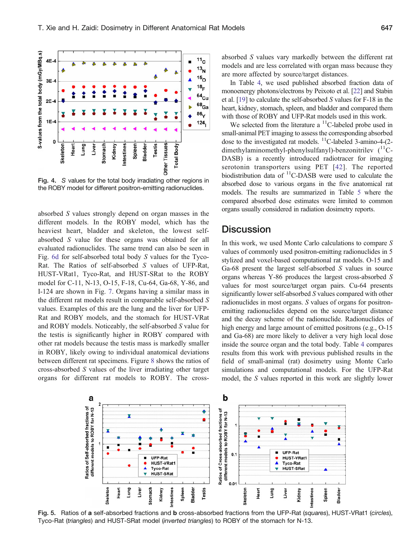<span id="page-5-0"></span>

Fig. 4. S values for the total body irradiating other regions in the ROBY model for different positron-emitting radionuclides.

absorbed S values strongly depend on organ masses in the different models. In the ROBY model, which has the heaviest heart, bladder and skeleton, the lowest selfabsorbed S value for these organs was obtained for all evaluated radionuclides. The same trend can also be seen in Fig. [6d](#page-6-0) for self-absorbed total body S values for the Tyco-Rat. The Ratios of self-absorbed S values of UFP-Rat, HUST-VRat1, Tyco-Rat, and HUST-SRat to the ROBY model for C-11, N-13, O-15, F-18, Cu-64, Ga-68, Y-86, and I-124 are shown in Fig. [7](#page-6-0). Organs having a similar mass in the different rat models result in comparable self-absorbed S values. Examples of this are the lung and the liver for UFP-Rat and ROBY models, and the stomach for HUST-VRat and ROBY models. Noticeably, the self-absorbed S value for the testis is significantly higher in ROBY compared with other rat models because the testis mass is markedly smaller in ROBY, likely owing to individual anatomical deviations between different rat specimens. Figure [8](#page-7-0) shows the ratios of cross-absorbed S values of the liver irradiating other target organs for different rat models to ROBY. The crossabsorbed S values vary markedly between the different rat models and are less correlated with organ mass because they are more affected by source/target distances.

In Table [4](#page-7-0), we used published absorbed fraction data of monoenergy photons/electrons by Peixoto et al. [\[22\]](#page-9-0) and Stabin et al. [[19](#page-9-0)] to calculate the self-absorbed S values for F-18 in the heart, kidney, stomach, spleen, and bladder and compared them with those of ROBY and UFP-Rat models used in this work.

We selected from the literature a  $\rm ^{11}C$ -labeled probe used in small-animal PET imaging to assess the corresponding absorbed dose to the investigated rat models. <sup>11</sup>C-labeled 3-amino-4-(2dimethylaminomethyl-phenylsulfanyl)-benzonitrilev  $(^{11}C-$ DASB) is a recently introduced radiotracer for imaging serotonin transporters using PET [[42](#page-9-0)]. The reported biodistribution data of <sup>11</sup>C-DASB were used to calculate the absorbed dose to various organs in the five anatomical rat models. The results are summarized in Table [5](#page-8-0) where the compared absorbed dose estimates were limited to common organs usually considered in radiation dosimetry reports.

## **Discussion**

In this work, we used Monte Carlo calculations to compare  $S$ values of commonly used positron-emitting radionuclides in 5 stylized and voxel-based computational rat models. O-15 and Ga-68 present the largest self-absorbed S values in source organs whereas Y-86 produces the largest cross-absorbed S values for most source/target organ pairs. Cu-64 presents significantly lower self-absorbed S values compared with other radionuclides in most organs. S values of organs for positronemitting radionuclides depend on the source/target distance and the decay scheme of the radionuclide. Radionuclides of high energy and large amount of emitted positrons (e.g., O-15) and Ga-68) are more likely to deliver a very high local dose inside the source organ and the total body. Table [4](#page-7-0) compares results from this work with previous published results in the field of small-animal (rat) dosimetry using Monte Carlo simulations and computational models. For the UFP-Rat model, the S values reported in this work are slightly lower



Fig. 5. Ratios of a self-absorbed fractions and b cross-absorbed fractions from the UFP-Rat (squares), HUST-VRat1 (circles), Tyco-Rat (triangles) and HUST-SRat model (inverted triangles) to ROBY of the stomach for N-13.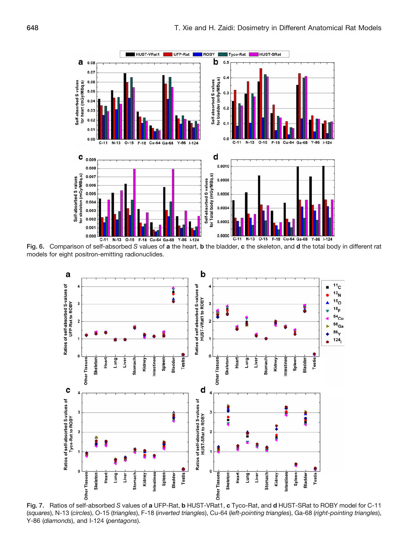<span id="page-6-0"></span>

Fig. 6. Comparison of self-absorbed S values of a the heart, b the bladder, c the skeleton, and d the total body in different rat models for eight positron-emitting radionuclides.



Fig. 7. Ratios of self-absorbed S values of a UFP-Rat, b HUST-VRat1, c Tyco-Rat, and d HUST-SRat to ROBY model for C-11 (squares), N-13 (circles), O-15 (triangles), F-18 (inverted triangles), Cu-64 (left-pointing triangles), Ga-68 (right-pointing triangles), Y-86 (diamonds), and I-124 (pentagons).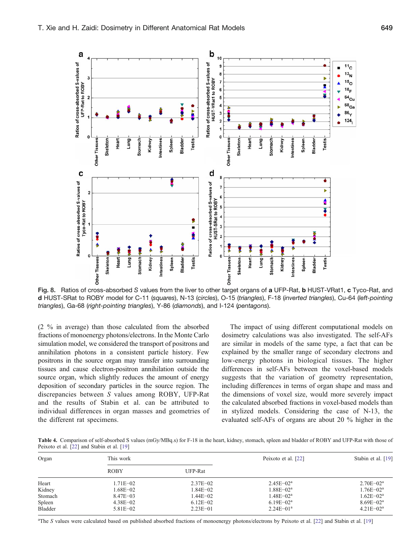<span id="page-7-0"></span>

Fig. 8. Ratios of cross-absorbed S values from the liver to other target organs of a UFP-Rat, b HUST-VRat1, c Tyco-Rat, and d HUST-SRat to ROBY model for C-11 (squares), N-13 (circles), O-15 (triangles), F-18 (inverted triangles), Cu-64 (left-pointing triangles), Ga-68 (right-pointing triangles), Y-86 (diamonds), and I-124 (pentagons).

(2 % in average) than those calculated from the absorbed fractions of monoenergy photons/electrons. In the Monte Carlo simulation model, we considered the transport of positrons and annihilation photons in a consistent particle history. Few positrons in the source organ may transfer into surrounding tissues and cause electron-positron annihilation outside the source organ, which slightly reduces the amount of energy deposition of secondary particles in the source region. The discrepancies between S values among ROBY, UFP-Rat and the results of Stabin et al. can be attributed to individual differences in organ masses and geometries of the different rat specimens.

The impact of using different computational models on dosimetry calculations was also investigated. The self-AFs are similar in models of the same type, a fact that can be explained by the smaller range of secondary electrons and low-energy photons in biological tissues. The higher differences in self-AFs between the voxel-based models suggests that the variation of geometry representation, including differences in terms of organ shape and mass and the dimensions of voxel size, would more severely impact the calculated absorbed fractions in voxel-based models than in stylized models. Considering the case of N-13, the evaluated self-AFs of organs are about 20 % higher in the

Table 4. Comparison of self-absorbed S values (mGy/MBq.s) for F-18 in the heart, kidney, stomach, spleen and bladder of ROBY and UFP-Rat with those of Peixoto et al. [[22\]](#page-9-0) and Stabin et al. [[19\]](#page-9-0)

| Organ   | This work    |              | Peixoto et al. [22] | Stabin et al. [19] |
|---------|--------------|--------------|---------------------|--------------------|
|         | <b>ROBY</b>  | UFP-Rat      |                     |                    |
| Heart   | 1.71E-02     | $2.37E - 02$ | $2.45E - 02a$       | $2.70E - 02^a$     |
| Kidney  | 1.68E-02     | $1.84E - 02$ | $1.88E - 02a$       | $1.76E - 02a$      |
| Stomach | $8.47E - 03$ | $1.44E - 02$ | $1.48E - 02a$       | $1.62E - 02^a$     |
| Spleen  | $4.38E - 02$ | $6.12E - 02$ | $6.19E - 02^a$      | $8.69E - 02a$      |
| Bladder | $5.81E - 02$ | $2.23E - 01$ | $2.24E - 01a$       | $4.21E - 02^a$     |

<sup>a</sup>The S values were calculated based on published absorbed fractions of monoenergy photons/electrons by Peixoto et al. [\[22](#page-9-0)] and Stabin et al. [\[19](#page-9-0)]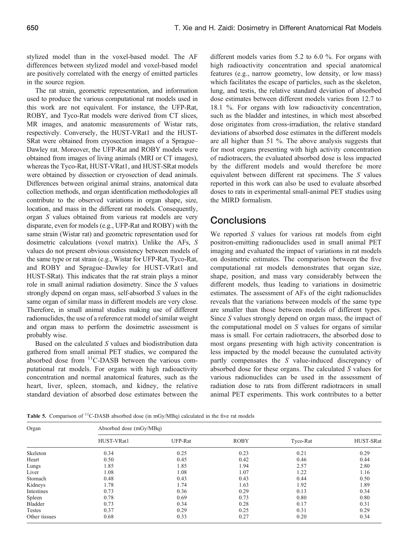<span id="page-8-0"></span>stylized model than in the voxel-based model. The AF differences between stylized model and voxel-based model are positively correlated with the energy of emitted particles in the source region.

The rat strain, geometric representation, and information used to produce the various computational rat models used in this work are not equivalent. For instance, the UFP-Rat, ROBY, and Tyco-Rat models were derived from CT slices, MR images, and anatomic measurements of Wistar rats, respectively. Conversely, the HUST-VRat1 and the HUST-SRat were obtained from cryosection images of a Sprague– Dawley rat. Moreover, the UFP-Rat and ROBY models were obtained from images of living animals (MRI or CT images), whereas the Tyco-Rat, HUST-VRat1, and HUST-SRat models were obtained by dissection or cryosection of dead animals. Differences between original animal strains, anatomical data collection methods, and organ identification methodologies all contribute to the observed variations in organ shape, size, location, and mass in the different rat models. Consequently, organ S values obtained from various rat models are very disparate, even for models (e.g., UFP-Rat and ROBY) with the same strain (Wistar rat) and geometric representation used for dosimetric calculations (voxel matrix). Unlike the AFs, S values do not present obvious consistency between models of the same type or rat strain (e.g., Wistar for UFP-Rat, Tyco-Rat, and ROBY and Sprague–Dawley for HUST-VRat1 and HUST-SRat). This indicates that the rat strain plays a minor role in small animal radiation dosimetry. Since the S values strongly depend on organ mass, self-absorbed S values in the same organ of similar mass in different models are very close. Therefore, in small animal studies making use of different radionuclides, the use of a reference rat model of similar weight and organ mass to perform the dosimetric assessment is probably wise.

Based on the calculated S values and biodistribution data gathered from small animal PET studies, we compared the absorbed dose from  $<sup>11</sup>C-DASB$  between the various com-</sup> putational rat models. For organs with high radioactivity concentration and normal anatomical features, such as the heart, liver, spleen, stomach, and kidney, the relative standard deviation of absorbed dose estimates between the

different models varies from 5.2 to 6.0 %. For organs with high radioactivity concentration and special anatomical features (e.g., narrow geometry, low density, or low mass) which facilitates the escape of particles, such as the skeleton, lung, and testis, the relative standard deviation of absorbed dose estimates between different models varies from 12.7 to 18.1 %. For organs with low radioactivity concentration, such as the bladder and intestines, in which most absorbed dose originates from cross-irradiation, the relative standard deviations of absorbed dose estimates in the different models are all higher than 51 %. The above analysis suggests that for most organs presenting with high activity concentration of radiotracers, the evaluated absorbed dose is less impacted by the different models and would therefore be more equivalent between different rat specimens. The S values reported in this work can also be used to evaluate absorbed doses to rats in experimental small-animal PET studies using the MIRD formalism.

## **Conclusions**

We reported S values for various rat models from eight positron-emitting radionuclides used in small animal PET imaging and evaluated the impact of variations in rat models on dosimetric estimates. The comparison between the five computational rat models demonstrates that organ size, shape, position, and mass vary considerably between the different models, thus leading to variations in dosimetric estimates. The assessment of AFs of the eight radionuclides reveals that the variations between models of the same type are smaller than those between models of different types. Since S values strongly depend on organ mass, the impact of the computational model on S values for organs of similar mass is small. For certain radiotracers, the absorbed dose to most organs presenting with high activity concentration is less impacted by the model because the cumulated activity partly compensates the S value-induced discrepancy of absorbed dose for these organs. The calculated S values for various radionuclides can be used in the assessment of radiation dose to rats from different radiotracers in small animal PET experiments. This work contributes to a better

Table 5. Comparison of  ${}^{11}$ C-DASB absorbed dose (in mGy/MBq) calculated in the five rat models

| Organ         | Absorbed dose (mGy/MBq) |         |             |          |           |  |  |  |
|---------------|-------------------------|---------|-------------|----------|-----------|--|--|--|
|               | HUST-VRat1              | UFP-Rat | <b>ROBY</b> | Tyco-Rat | HUST-SRat |  |  |  |
| Skeleton      | 0.34                    | 0.25    | 0.23        | 0.21     | 0.29      |  |  |  |
| Heart         | 0.50                    | 0.45    | 0.42        | 0.46     | 0.44      |  |  |  |
| Lungs         | 1.85                    | 1.85    | 1.94        | 2.57     | 2.80      |  |  |  |
| Liver         | 1.08                    | 1.08    | 1.07        | 1.22     | 1.16      |  |  |  |
| Stomach       | 0.48                    | 0.43    | 0.43        | 0.44     | 0.50      |  |  |  |
| Kidneys       | 1.78                    | 1.74    | 1.63        | 1.92     | 1.89      |  |  |  |
| Intestines    | 0.73                    | 0.36    | 0.29        | 0.13     | 0.34      |  |  |  |
| Spleen        | 0.78                    | 0.69    | 0.73        | 0.80     | 0.80      |  |  |  |
| Bladder       | 0.73                    | 0.34    | 0.28        | 0.17     | 0.31      |  |  |  |
| Testes        | 0.37                    | 0.29    | 0.25        | 0.31     | 0.29      |  |  |  |
| Other tissues | 0.68                    | 0.33    | 0.27        | 0.20     | 0.34      |  |  |  |